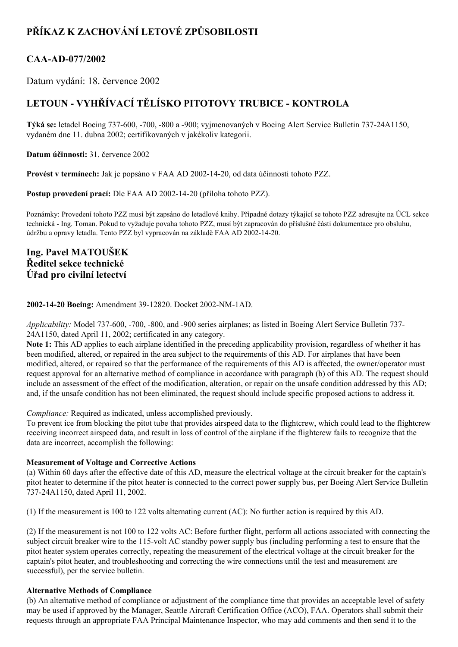# **PŘÍKAZ K ZACHOVÁNÍ LETOVÉ ZPŮSOBILOSTI**

### **CAAAD077/2002**

Datum vydání: 18. července 2002

## **LETOUN VYHŘÍVACÍ TĚLÍSKO PITOTOVY TRUBICE KONTROLA**

**Týká se:** letadel Boeing 737-600, -700, -800 a -900; vyjmenovaných v Boeing Alert Service Bulletin 737-24A1150, vydaném dne 11. dubna 2002; certifikovaných v jakékoliv kategorii.

**Datum účinnosti:** 31. července 2002

**Provést v termínech:** Jak je popsáno v FAA AD 20021420, od data účinnosti tohoto PZZ.

**Postup provedení prací:** Dle FAA AD 2002-14-20 (příloha tohoto PZZ).

Poznámky: Provedení tohoto PZZ musí být zapsáno do letadlové knihy. Případné dotazy týkající se tohoto PZZ adresujte na ÚCL sekce technická Ing. Toman. Pokud to vyžaduje povaha tohoto PZZ, musí být zapracován do příslušné části dokumentace pro obsluhu, údržbu a opravy letadla. Tento PZZ byl vypracován na základě FAA AD 2002-14-20.

### **Ing. Pavel MATOUŠEK Ředitel sekce technické Úřad pro civilní letectví**

#### **2002-14-20 Boeing:** Amendment 39-12820. Docket 2002-NM-1AD.

*Applicability:* Model 737-600, -700, -800, and -900 series airplanes; as listed in Boeing Alert Service Bulletin 737-24A1150, dated April 11, 2002; certificated in any category.

**Note 1:** This AD applies to each airplane identified in the preceding applicability provision, regardless of whether it has been modified, altered, or repaired in the area subject to the requirements of this AD. For airplanes that have been modified, altered, or repaired so that the performance of the requirements of this AD is affected, the owner/operator must request approval for an alternative method of compliance in accordance with paragraph (b) of this AD. The request should include an assessment of the effect of the modification, alteration, or repair on the unsafe condition addressed by this AD; and, if the unsafe condition has not been eliminated, the request should include specific proposed actions to address it.

*Compliance:* Required as indicated, unless accomplished previously.

To prevent ice from blocking the pitot tube that provides airspeed data to the flightcrew, which could lead to the flightcrew receiving incorrect airspeed data, and result in loss of control of the airplane if the flightcrew fails to recognize that the data are incorrect, accomplish the following:

#### **Measurement of Voltage and Corrective Actions**

(a) Within 60 days after the effective date of this AD, measure the electrical voltage at the circuit breaker for the captain's pitot heater to determine if the pitot heater is connected to the correct power supply bus, per Boeing Alert Service Bulletin 73724A1150, dated April 11, 2002.

(1) If the measurement is 100 to 122 volts alternating current (AC): No further action is required by this AD.

(2) If the measurement is not 100 to 122 volts AC: Before further flight, perform all actions associated with connecting the subject circuit breaker wire to the 115-volt AC standby power supply bus (including performing a test to ensure that the pitot heater system operates correctly, repeating the measurement of the electrical voltage at the circuit breaker for the captain's pitot heater, and troubleshooting and correcting the wire connections until the test and measurement are successful), per the service bulletin.

#### **Alternative Methods of Compliance**

(b) An alternative method of compliance or adjustment of the compliance time that provides an acceptable level of safety may be used if approved by the Manager, Seattle Aircraft Certification Office (ACO), FAA. Operators shall submit their requests through an appropriate FAA Principal Maintenance Inspector, who may add comments and then send it to the